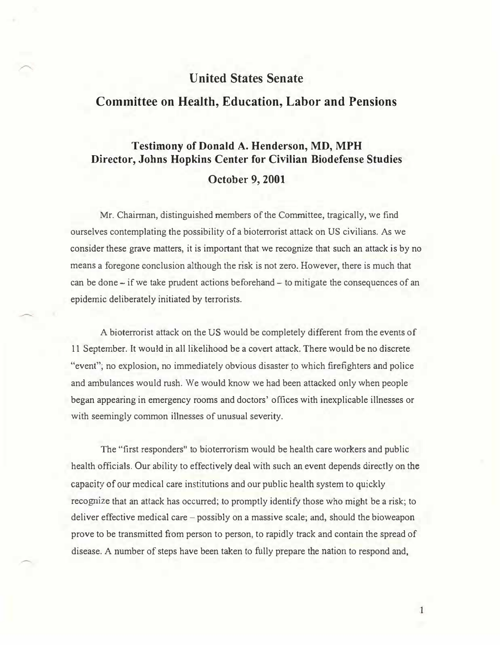### United States Senate

## Committee on Health, Education, Labor and Pensions

# Testimony of Donald A. Henderson, MD, MPH Director, Johns Hopkins Center for Civilian Biodefense Studies October 9, 2001

Mr. Chairman, distinguished members of the Committee, tragically, we find ourselves contemplating the possibility of a bioterrorist attack on US civilians. As we consider these grave matters, it is important that we recognize that such an attack is by no means a foregone conclusion although the risk is not zero. However, there is much that can be done- if we take prudent actions beforehand- to mitigate the consequences of an epidemic deliberately initiated by terrorists.

A bioterrorist attack on the US would be completely different from the events of 11 September. It would in all likelihood be a covert attack. There would be no discrete "event"; no explosion, no immediately obvious disaster to which firefighters and police and ambulances would rush. We would know we had been attacked only when people began appearing in emergency rooms and doctors' offices with inexplicable illnesses or with seemingly common illnesses of unusual severity.

The "first responders" to bioterrorism would be health care workers and public health officials. Our ability to effectively deal with such an event depends directly on the capacity of our medical care institutions and our public health system to quickly recognize that an attack has occurred; to promptly identify those who might be a risk; to deliver effective medical care – possibly on a massive scale; and, should the bioweapon prove to be transmitted from person to person, to rapidly track and contain the spread of disease. A number of steps have been taken to fully prepare the nation to respond and,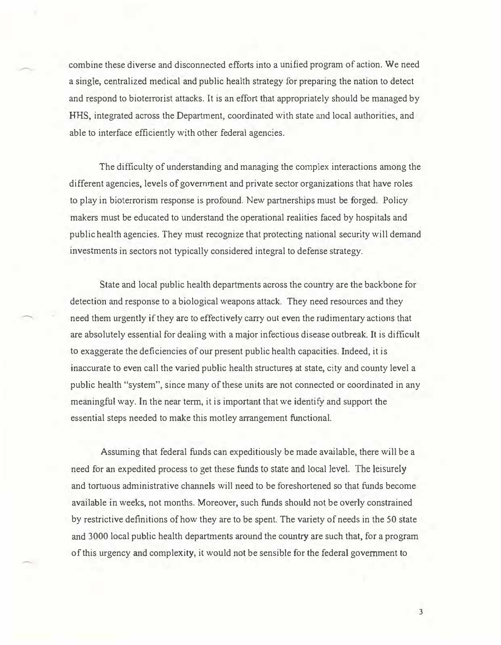combine these diverse and disconnected efforts into a unified program of action. We need a single, centralized medical and public health strategy for preparing the nation to detect and respond to bioterrorist attacks. It is an effort that appropriately should be managed by HHS, integrated across the Department, coordinated with state and local authorities, and able to interface efficiently with other federal agencies.

The difficulty of understanding and managing the complex interactions among the different agencies, levels of government and private sector organizations that have roles to play in bioterrorism response is profound. New partnerships must be forged. Policy makers must be educated to understand the operational realities faced by hospitals and public health agencies. They must recognize that protecting national security will demand investments in sectors not typically considered integral to defense strategy.

State and local public health departments across the country are the backbone for detection and response to a biological weapons attack. They need resources and they need them urgently if they are to effectively carry out even the rudimentary actions that are absolutely essential for dealing with a major infectious disease outbreak. It is difficult to exaggerate the deficiencies of our present public health capacities. Indeed, it is inaccurate to even call the varied public health structures at state, city and county level a public health "system", since many of these units are not connected or coordinated in any meaningful way. In the near term, it is important that we identify and support the essential steps needed to make this motley arrangement functional.

Assuming that federal funds can expeditiously be made available, there will be a need for an expedited process to get these funds to state and local level. The leisurely and tortuous administrative channels will need to be foreshortened so that funds become available in weeks, not months. Moreover, such funds should not be overly constrained by restrictive definitions of how they are to be spent. The variety of needs in the 50 state and 3000 local public health departments around the country are such that, for a program of this urgency and complexity, it would not be sensible for the federal government to

3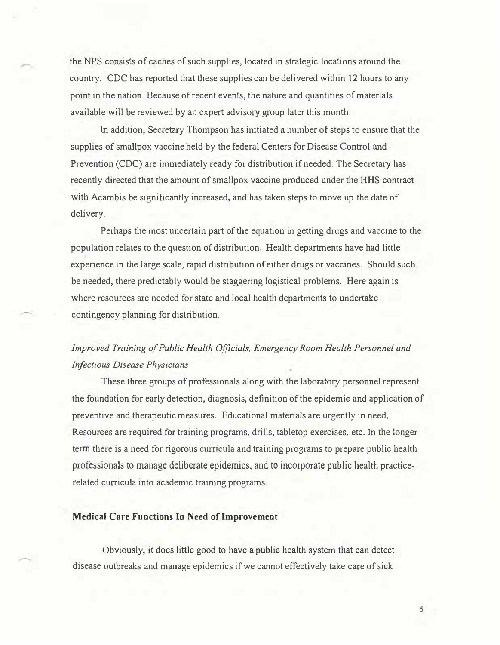the NPS consists of caches of such supplies, located in strategic locations around the country. CDC has reported that these supplies can be delivered within 12 hours to any point in the nation. Because of recent events, the nature and quantities of materials available will be reviewed by an expert advisory group later this month.

In addition, Secretary Thompson has initiated a number of steps to ensure that the supplies of smallpox vaccine held by the federal Centers for Disease Control and Prevention (CDC) are immediately ready for distribution if needed. The Secretary has recently directed that the amount of smallpox vaccine produced under the HHS contract with Acambis be significantly increased, and has taken steps to move up the date of delivery.

Perhaps the most uncertain part of the equation in getting drugs and vaccine to the population relates to the question of distribution. Health departments have had little experience in the large scale, rapid distribution of either drugs or vaccines. Should such be needed, there predictably would be staggering logistical problems. Here again is where resources are needed for state and local health departments to undertake contingency planning for distribution.

## Improved Training of Public Health Officials. Emergency Room Health Personnel and Infectious Disease Physicians

These three groups of professionals along with the laboratory personnel represent the foundation for early detection, diagnosis, definition of the epidemic and application of preventive and therapeutic measures. Educational materials are urgently in need. Resources are required for training programs, drills, tabletop exercises, etc. In the longer term there is a need for rigorous curricula and training programs to prepare public health professionals to manage deliberate epidemics, and to incorporate public health practicerelated curricula into academic training programs.

#### Medical Care Functions Io Need of Improvement

Obviously, it does little good to have a public health system that can detect disease outbreaks and manage epidemics if we cannot effectively take care of sick